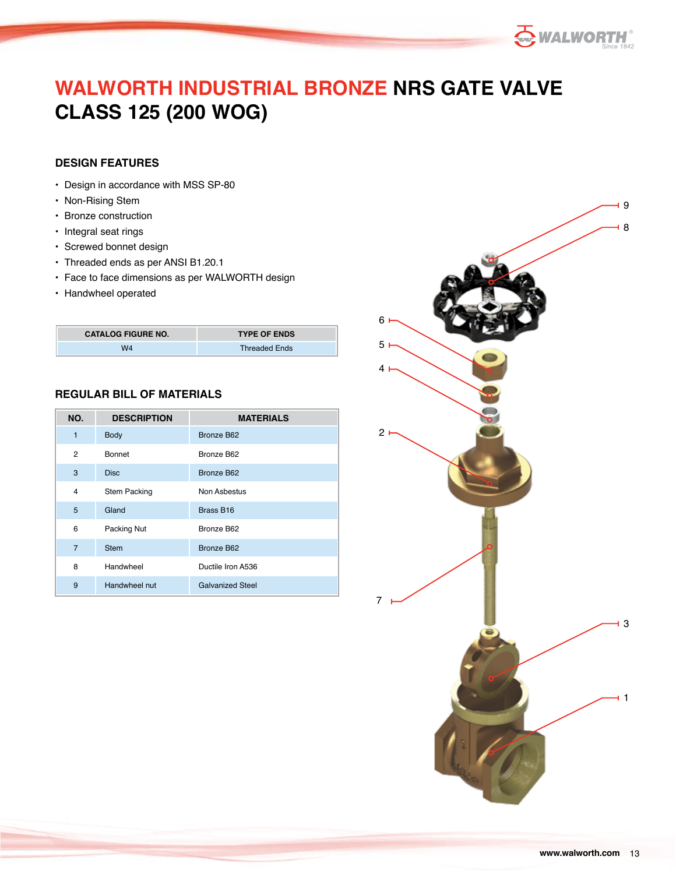

# **WALWORTH INDUSTRIAL BRONZE NRS GATE VALVE CLASS 125 (200 WOG)**

### **DESIGN FEATURES**

- Design in accordance with MSS SP-80
- Non-Rising Stem
- Bronze construction
- Integral seat rings
- Screwed bonnet design
- Threaded ends as per ANSI B1.20.1
- Face to face dimensions as per WALWORTH design
- Handwheel operated

| <b>CATALOG FIGURE NO.</b> | <b>TYPE OF ENDS</b>  |
|---------------------------|----------------------|
| W4                        | <b>Threaded Ends</b> |

### **REGULAR BILL OF MATERIALS**

| NO.            | <b>DESCRIPTION</b>  | <b>MATERIALS</b>        |  |  |
|----------------|---------------------|-------------------------|--|--|
| 1              | <b>Body</b>         | Bronze B62              |  |  |
| 2              | <b>Bonnet</b>       | Bronze B62              |  |  |
| 3              | <b>Disc</b>         | <b>Bronze B62</b>       |  |  |
| 4              | <b>Stem Packing</b> | Non Asbestus            |  |  |
| 5              | Gland               | Brass B16               |  |  |
| 6              | Packing Nut         | Bronze B62              |  |  |
| $\overline{7}$ | <b>Stem</b>         | <b>Bronze B62</b>       |  |  |
| 8              | Handwheel           | Ductile Iron A536       |  |  |
| 9              | Handwheel nut       | <b>Galvanized Steel</b> |  |  |